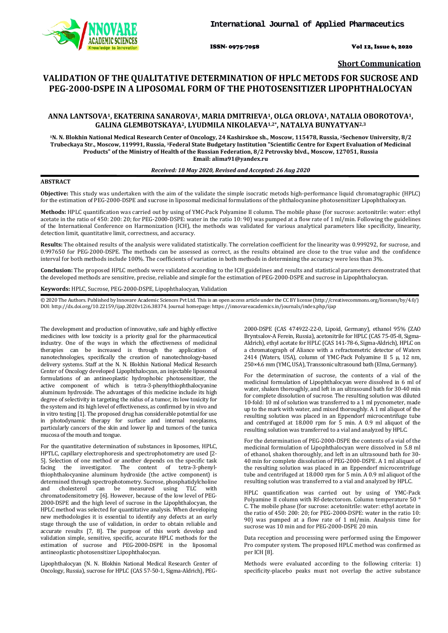ISSN- 0975-7058 Vol 12, Issue 6, 2020

**Short Communication**

# **VALIDATION OF THE QUALITATIVE DETERMINATION OF HPLC METODS FOR SUCROSE AND PEG-2000-DSPE IN A LIPOSOMAL FORM OF THE PHOTOSENSITIZER LIPOPHTHALOCYAN**

# **ANNA LANTSOVA1, EKATERINA SANAROVA1, MARIA DMITRIEVA1, OLGA ORLOVA1, NATALIA OBOROTOVA1, GALINA GLEMBOTSKAYA2, LYUDMILA NIKOLAEVA1,2\*, NATALYA BUNYATYAN2,3**

**1N. N. Blokhin National Medical Research Center of Oncology, 24 Kashirskoe sh., Moscow, 115478, Russia, 2Sechenov University, 8/2 Trubeckaya Str., Moscow, 119991, Russia, 3Federal State Budgetary Institution "Scientific Centre for Expert Evaluation of Medicinal Products" of the Ministry of Health of the Russian Federation, 8/2 Petrovsky blvd., Moscow, 127051, Russia Email: alima91@yandex.ru**

## *Received: 18 May 2020, Revised and Accepted: 26 Aug 2020*

# **ABSTRACT**

**Objective:** This study was undertaken with the aim of the validate the simple isocratic metods high-performance liquid chromatographic (HPLC) for the estimation of PEG-2000-DSPE and sucrose in liposomal medicinal formulations of the phthalocyanine photosensitizer Lipophthalocyan.

**Methods:** HPLC quantification was carried out by using of YMC-Pack Polyamine II column. The mobile phase (for sucrose: acetonitrile: water: ethyl acetate in the ratio of 450: 200: 20; for PEG-2000-DSPE: water in the ratio 10: 90) was pumped at a flow rate of 1 ml/min. Following the guidelines of the International Conference on Harmonization (ICH), the methods was validated for various analytical parameters like specificity, linearity, detection limit, quantitative limit, correctness, and accuracy.

**Results:** The obtained results of the analysis were validated statistically. The correlation coefficient for the linearity was 0.999292, for sucrose, and 0.997650 for PEG-2000-DSPE. The methods can be assessed as correct, as the results obtained are close to the true value and the confidence interval for both methods include 100%. The coefficients of variation in both methods in determining the accuracy were less than 3%.

**Conclusion:** The proposed HPLC methods were validated according to the ICH guidelines and results and statistical parameters demonstrated that the developed methods are sensitive, precise, reliable and simple for the estimation of PEG-2000-DSPE and sucrose in Lipophthalocyan.

**Keywords:** HPLC, Sucrose, PEG-2000-DSPE, Lipophthalocyan, Validation

© 2020 The Authors. Published by Innovare Academic Sciences Pvt Ltd. This is an open access article under the CC BY license [\(http://creativecommons.org/licenses/by/4.0/\)](http://creativecommons.org/licenses/by/4.0/) DOI: http://dx.doi.org/10.22159/ijap.2020v12i6.38374. Journal homepage[: https://innovareacademics.in/journals/index.php/ijap](https://innovareacademics.in/journals/index.php/ijap)

The development and production of innovative, safe and highly effective medicines with low toxicity is a priority goal for the pharmaceutical industry. One of the ways in which the effectiveness of medicinal therapies can be increased is through the application of nanotechnologies, specifically the creation of nanotechnology-based delivery systems. Staff at the N. N. Blokhin National Medical Research Center of Oncology developed Lipophthalocyan, an injectable liposomal formulations of an antineoplastic hydrophobic photosensitizer, the active component of which is tetra-3-phenylthiophthalocyanine aluminum hydroxide. The advantages of this medicine include its high degree of selectivity in targeting the nidus of a tumor, its low toxicity for the system and its high level of effectiveness, as confirmed by in vivo and in vitro testing [1]. The proposed drug has considerable potential for use in photodynamic therapy for surface and internal neoplasms, particularly cancers of the skin and lower lip and tumors of the tunica mucosa of the mouth and tongue.

For the quantitative determination of substances in liposomes, HPLC, HPTLC, capillary electrophoresis and spectrophotometry are used [2- 5]. Selection of one method or another depends on the specific task facing the investigator. The content of tetra-3-phenylthe investigator. The content of tetra-3-phenylthiophthalocyanine aluminum hydroxide (the active component) is determined through spectrophotometry. Sucrose, phosphatidylcholine<br>and cholesterol can be measured using TLC with and cholesterol can be measured using TLC chromatodensitometry [6]. However, because of the low level of PEG-2000-DSPE and the high level of sucrose in the Lipophthalocyan, the HPLC method was selected for quantitative analysis. When developing new methodologies it is essential to identify any defects at an early stage through the use of validation, in order to obtain reliable and accurate results [7, 8]. The purpose of this work develop and validation simple, sensitive, specific, accurate HPLC methods for the estimation of sucrose and PEG-2000-DSPE in the liposomal antineoplastic photosensitizer Lipophthalocyan.

Lipophthalocyan (N. N. Blokhin National Medical Research Center of Oncology, Russia), sucrose for HPLC (CAS 57-50-1, Sigma-Aldrich), PEG-

2000-DSPE (CAS 474922-22-0, Lipoid, Germany), ethanol 95% (ZAO Bryntsalov-A Ferein, Russia), acetonitrile for HPLC (CAS 75-05-8, Sigma-Aldrich), ethyl acetate for HPLC (CAS 141-78-6, Sigma-Aldrich), HPLC on a chromatograph of Aliance with a refractometric detector of Waters 2414 (Waters, USA), column of YMC-Pack Polyamine II 5 μ, 12 nm, 250×4.6 mm (YMC, USA), Transsonic ultrasound bath (Elma, Germany).

For the determination of sucrose, the contents of a vial of the medicinal formulation of Lipophthalocyan were dissolved in 6 ml of water, shaken thoroughly, and left in an ultrasound bath for 30-40 min for complete dissolution of sucrose. The resulting solution was diluted 10-fold: 10 ml of solution was transferred to a 1 ml pycnometer, made up to the mark with water, and mixed thoroughly. A 1 ml aliquot of the resulting solution was placed in an Eppendorf microcentrifuge tube and centrifuged at 18.000 rpm for 5 min. A 0.9 ml aliquot of the resulting solution was transferred to a vial and analyzed by HPLC.

For the determination of PEG-2000-DSPE the contents of a vial of the medicinal formulation of Lipophthalocyan were dissolved in 5.8 ml of ethanol, shaken thoroughly, and left in an ultrasound bath for 30- 40 min for complete dissolution of PEG-2000-DSPE. A 1 ml aliquot of the resulting solution was placed in an Eppendorf microcentrifuge tube and centrifuged at 18.000 rpm for 5 min. A 0.9 ml aliquot of the resulting solution was transferred to a vial and analyzed by HPLC.

HPLC quantification was carried out by using of YMC-Pack Polyamine II column with Rf-detectorom. Column temperature 50 ° С. The mobile phase (for sucrose: acetonitrile: water: ethyl acetate in the ratio of  $450:200:20$ ; for PEG-2000-DSPE: water in the ratio 10: 90) was pumped at a flow rate of 1 ml/min. Analysis time for sucrose was 10 min and for PEG-2000-DSPE 20 min.

Data reception and processing were performed using the Empower Pro computer system. The proposed HPLC method was confirmed as per ICH [8].

Methods were evaluated according to the following criteria: 1) specificity-placebo peaks must not overlap the active substance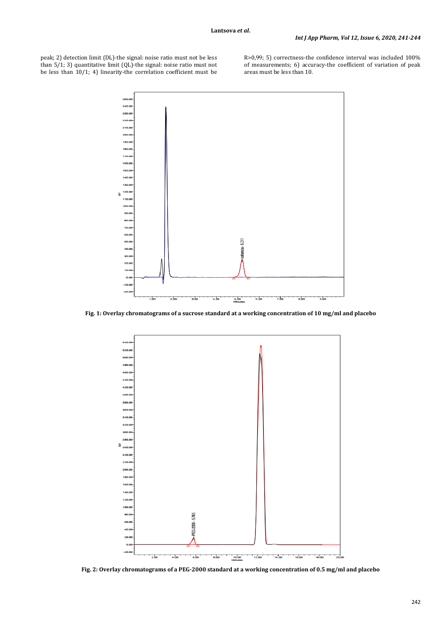peak; 2) detection limit (DL)-the signal: noise ratio must not be less than 5/1; 3) quantitative limit (QL)-the signal: noise ratio must not be less than 10/1; 4) linearity-the correlation coefficient must be R>0,99; 5) correctness-the confidence interval was included 100% of measurements; 6) accuracy-the coefficient of variation of peak areas must be less than 10.



**Fig. 1: Overlay chromatograms of a sucrose standard at a working concentration of 10 mg/ml and placebo**



**Fig. 2: Overlay chromatograms of a PEG-2000 standard at a working concentration of 0.5 mg/ml and placebo**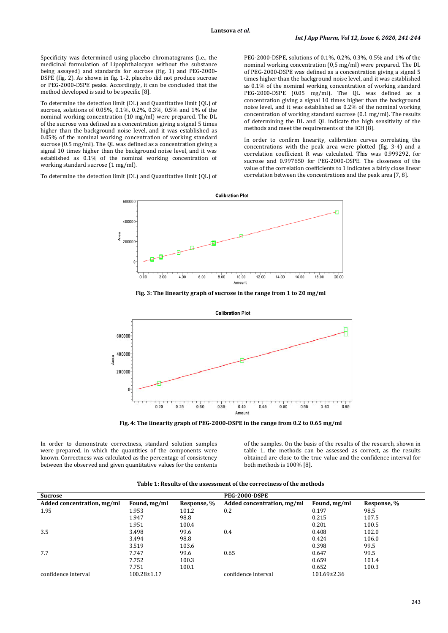Specificity was determined using placebo chromatograms (i.e., the medicinal formulation of Lipophthalocyan without the substance being assayed) and standards for sucrose (fig. 1) and PEG-2000- DSPE (fig. 2). As shown in fig. 1-2, placebo did not produce sucrose or PEG-2000-DSPE peaks. Accordingly, it can be concluded that the method developed is said to be specific [8].

To determine the detection limit (DL) and Quantitative limit (QL) of sucrose, solutions of 0.05%, 0.1%, 0.2%, 0.3%, 0.5% and 1% of the nominal working concentration (10 mg/ml) were prepared. The DL of the sucrose was defined as a concentration giving a signal 5 times higher than the background noise level, and it was established as 0.05% of the nominal working concentration of working standard sucrose (0.5 mg/ml). The QL was defined as a concentration giving a signal 10 times higher than the background noise level, and it was established as 0.1% of the nominal working concentration of working standard sucrose (1 mg/ml).

To determine the detection limit (DL) and Quantitative limit (QL) of

PEG-2000-DSPE, solutions of 0.1%, 0.2%, 0.3%, 0.5% and 1% of the nominal working concentration (0,5 mg/ml) were prepared. The DL of PEG-2000-DSPE was defined as a concentration giving a signal 5 times higher than the background noise level, and it was established as 0.1% of the nominal working concentration of working standard PEG-2000-DSPE (0.05 mg/ml). The QL was defined as a concentration giving a signal 10 times higher than the background noise level, and it was established as 0.2% of the nominal working concentration of working standard sucrose (0.1 mg/ml). The results of determining the DL and QL indicate the high sensitivity of the methods and meet the requirements of the ICH [8].

In order to confirm linearity, calibration curves correlating the concentrations with the peak area were plotted (fig. 3-4) and a correlation coefficient R was calculated. This was 0.999292, for sucrose and 0.997650 for PEG-2000-DSPE. The closeness of the value of the correlation coefficients to 1 indicates a fairly close linear correlation between the concentrations and the peak area [7, 8].



**Fig. 3: The linearity graph of sucrose in the range from 1 to 20 mg/ml**



**Fig. 4: The linearity graph of PEG-2000-DSPE in the range from 0.2 to 0.65 mg/ml**

In order to demonstrate correctness, standard solution samples were prepared, in which the quantities of the components were known. Correctness was calculated as the percentage of consistency between the observed and given quantitative values for the contents

of the samples. On the basis of the results of the research, shown in table 1, the methods can be assessed as correct, as the results obtained are close to the true value and the confidence interval for both methods is 100% [8].

| <b>Sucrose</b>             |              |             | <b>PEG-2000-DSPE</b>       |                   |             |
|----------------------------|--------------|-------------|----------------------------|-------------------|-------------|
| Added concentration, mg/ml | Found, mg/ml | Response, % | Added concentration, mg/ml | Found, mg/ml      | Response, % |
| 1.95                       | 1.953        | 101.2       | 0.2                        | 0.197             | 98.5        |
|                            | 1.947        | 98.8        |                            | 0.215             | 107.5       |
|                            | 1.951        | 100.4       |                            | 0.201             | 100.5       |
| 3.5                        | 3.498        | 99.6        | 0.4                        | 0.408             | 102.0       |
|                            | 3.494        | 98.8        |                            | 0.424             | 106.0       |
|                            | 3.519        | 103.6       |                            | 0.398             | 99.5        |
| 7.7                        | 7.747        | 99.6        | 0.65                       | 0.647             | 99.5        |
|                            | 7.752        | 100.3       |                            | 0.659             | 101.4       |
|                            | 7.751        | 100.1       |                            | 0.652             | 100.3       |
| confidence interval        | 100.28±1.17  |             | confidence interval        | $101.69 \pm 2.36$ |             |